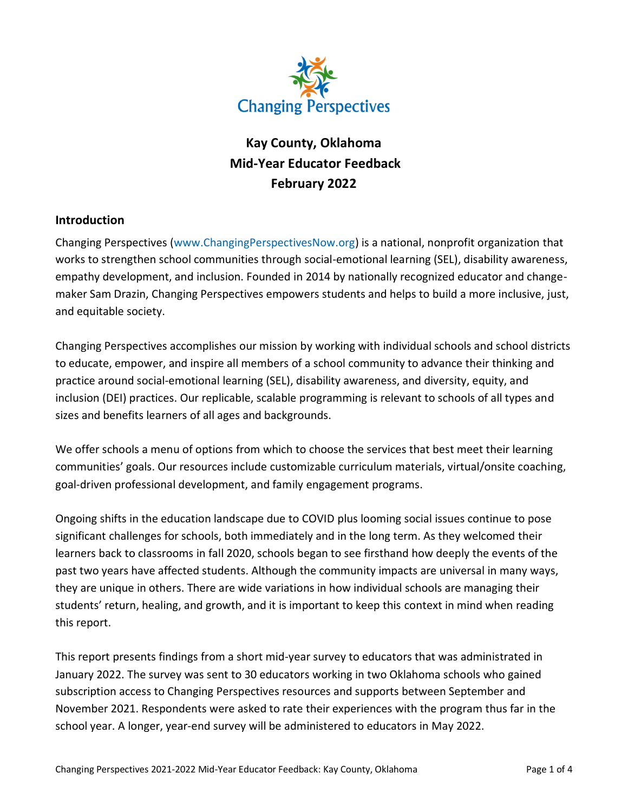

# **Kay County, Oklahoma Mid-Year Educator Feedback February 2022**

## **Introduction**

Changing Perspectives [\(www.ChangingPerspectivesNow.org\)](http://www.changingperspectivesnow.org/) is a national, nonprofit organization that works to strengthen school communities through social-emotional learning (SEL), disability awareness, empathy development, and inclusion. Founded in 2014 by nationally recognized educator and changemaker Sam Drazin, Changing Perspectives empowers students and helps to build a more inclusive, just, and equitable society.

Changing Perspectives accomplishes our mission by working with individual schools and school districts to educate, empower, and inspire all members of a school community to advance their thinking and practice around social-emotional learning (SEL), disability awareness, and diversity, equity, and inclusion (DEI) practices. Our replicable, scalable programming is relevant to schools of all types and sizes and benefits learners of all ages and backgrounds.

We offer schools a menu of options from which to choose the services that best meet their learning communities' goals. Our resources include customizable curriculum materials, virtual/onsite coaching, goal-driven professional development, and family engagement programs.

Ongoing shifts in the education landscape due to COVID plus looming social issues continue to pose significant challenges for schools, both immediately and in the long term. As they welcomed their learners back to classrooms in fall 2020, schools began to see firsthand how deeply the events of the past two years have affected students. Although the community impacts are universal in many ways, they are unique in others. There are wide variations in how individual schools are managing their students' return, healing, and growth, and it is important to keep this context in mind when reading this report.

This report presents findings from a short mid-year survey to educators that was administrated in January 2022. The survey was sent to 30 educators working in two Oklahoma schools who gained subscription access to Changing Perspectives resources and supports between September and November 2021. Respondents were asked to rate their experiences with the program thus far in the school year. A longer, year-end survey will be administered to educators in May 2022.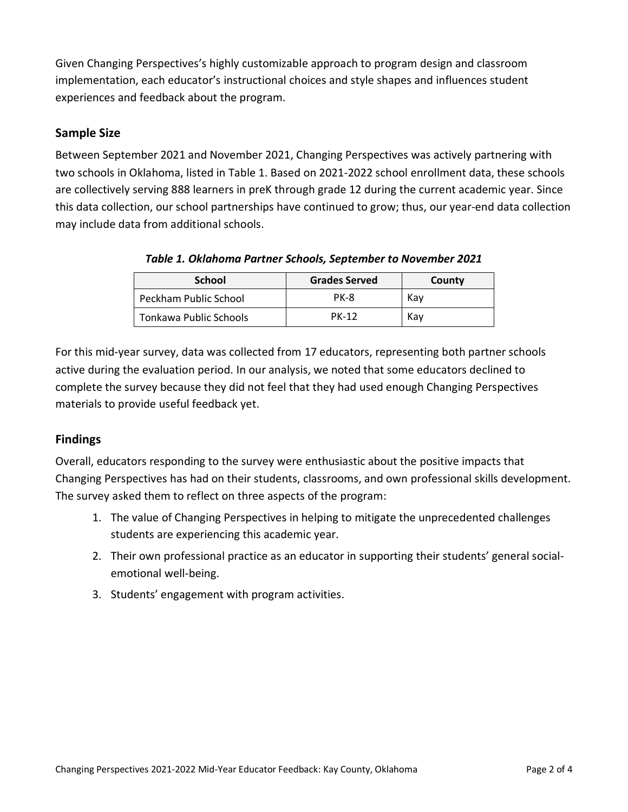Given Changing Perspectives's highly customizable approach to program design and classroom implementation, each educator's instructional choices and style shapes and influences student experiences and feedback about the program.

## **Sample Size**

Between September 2021 and November 2021, Changing Perspectives was actively partnering with two schools in Oklahoma, listed in Table 1. Based on 2021-2022 school enrollment data, these schools are collectively serving 888 learners in preK through grade 12 during the current academic year. Since this data collection, our school partnerships have continued to grow; thus, our year-end data collection may include data from additional schools.

| <b>School</b>          | <b>Grades Served</b> | County |
|------------------------|----------------------|--------|
| Peckham Public School  | PK-8                 | Kav    |
| Tonkawa Public Schools | <b>PK-12</b>         | Kav    |

*Table 1. Oklahoma Partner Schools, September to November 2021*

For this mid-year survey, data was collected from 17 educators, representing both partner schools active during the evaluation period. In our analysis, we noted that some educators declined to complete the survey because they did not feel that they had used enough Changing Perspectives materials to provide useful feedback yet.

# **Findings**

Overall, educators responding to the survey were enthusiastic about the positive impacts that Changing Perspectives has had on their students, classrooms, and own professional skills development. The survey asked them to reflect on three aspects of the program:

- 1. The value of Changing Perspectives in helping to mitigate the unprecedented challenges students are experiencing this academic year.
- 2. Their own professional practice as an educator in supporting their students' general socialemotional well-being.
- 3. Students' engagement with program activities.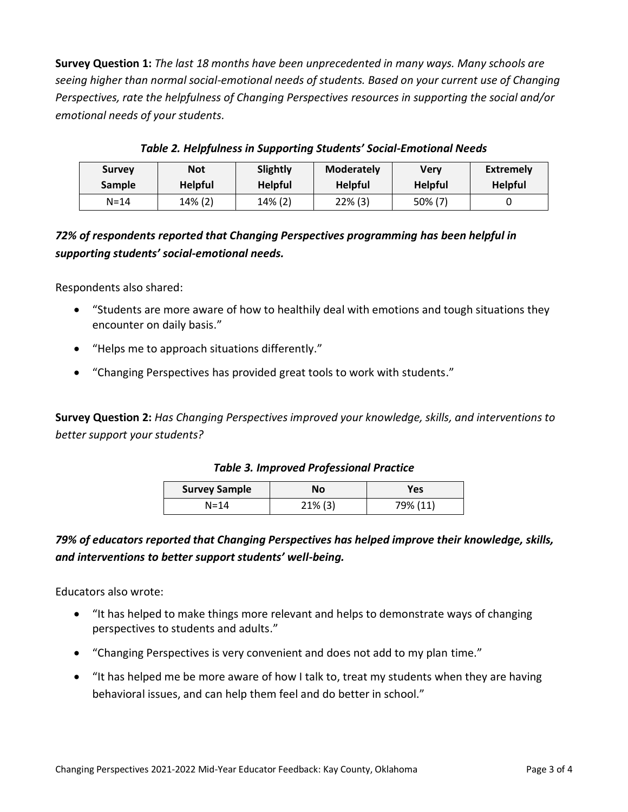**Survey Question 1:** *The last 18 months have been unprecedented in many ways. Many schools are seeing higher than normal social-emotional needs of students. Based on your current use of Changing Perspectives, rate the helpfulness of Changing Perspectives resources in supporting the social and/or emotional needs of your students.*

| <b>Survey</b> | Not            | Slightly       | <b>Moderately</b> | Verv           | Extremely      |
|---------------|----------------|----------------|-------------------|----------------|----------------|
| <b>Sample</b> | <b>Helpful</b> | <b>Helpful</b> | <b>Helpful</b>    | <b>Helpful</b> | <b>Helpful</b> |
| $N = 14$      | 14% (2)        | 14% (2)        | $22\%$ (3)        | 50% (7)        |                |

*Table 2. Helpfulness in Supporting Students' Social-Emotional Needs*

# *72% of respondents reported that Changing Perspectives programming has been helpful in supporting students' social-emotional needs.*

Respondents also shared:

- "Students are more aware of how to healthily deal with emotions and tough situations they encounter on daily basis."
- "Helps me to approach situations differently."
- "Changing Perspectives has provided great tools to work with students."

**Survey Question 2:** *Has Changing Perspectives improved your knowledge, skills, and interventions to better support your students?*

#### *Table 3. Improved Professional Practice*

| <b>Survey Sample</b> | Νo         | Yes      |  |
|----------------------|------------|----------|--|
| $N = 14$             | $21\%$ (3) | 79% (11) |  |

# *79% of educators reported that Changing Perspectives has helped improve their knowledge, skills, and interventions to better support students' well-being.*

Educators also wrote:

- "It has helped to make things more relevant and helps to demonstrate ways of changing perspectives to students and adults."
- "Changing Perspectives is very convenient and does not add to my plan time."
- "It has helped me be more aware of how I talk to, treat my students when they are having behavioral issues, and can help them feel and do better in school."